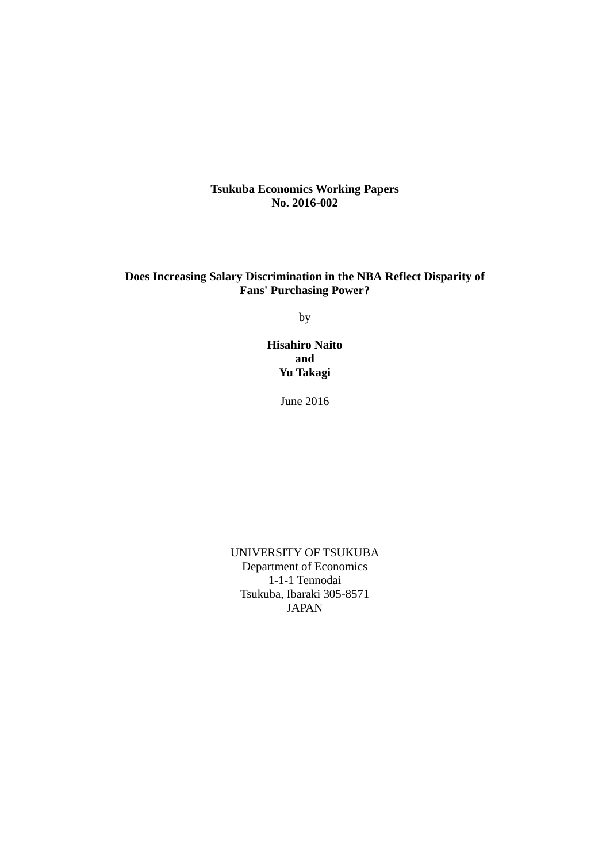**Tsukuba Economics Working Papers No. 2016-002**

# **Does Increasing Salary Discrimination in the NBA Reflect Disparity of Fans' Purchasing Power?**

by

**Hisahiro Naito and Yu Takagi** 

June 2016

UNIVERSITY OF TSUKUBA Department of Economics 1-1-1 Tennodai Tsukuba, Ibaraki 305-8571 JAPAN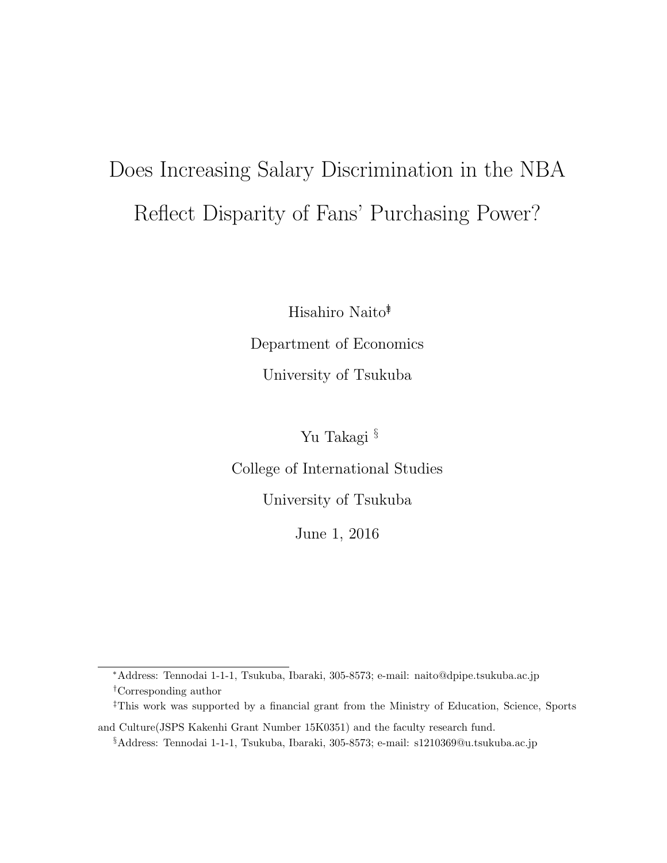# Does Increasing Salary Discrimination in the NBA Reflect Disparity of Fans' Purchasing Power?

Hisahiro Naito∗†‡

Department of Economics University of Tsukuba

Yu Takagi §

College of International Studies

University of Tsukuba

June 1, 2016

<sup>∗</sup>Address: Tennodai 1-1-1, Tsukuba, Ibaraki, 305-8573; e-mail: naito@dpipe.tsukuba.ac.jp †Corresponding author

<sup>‡</sup>This work was supported by a financial grant from the Ministry of Education, Science, Sports

and Culture(JSPS Kakenhi Grant Number 15K0351) and the faculty research fund.

<sup>§</sup>Address: Tennodai 1-1-1, Tsukuba, Ibaraki, 305-8573; e-mail: s1210369@u.tsukuba.ac.jp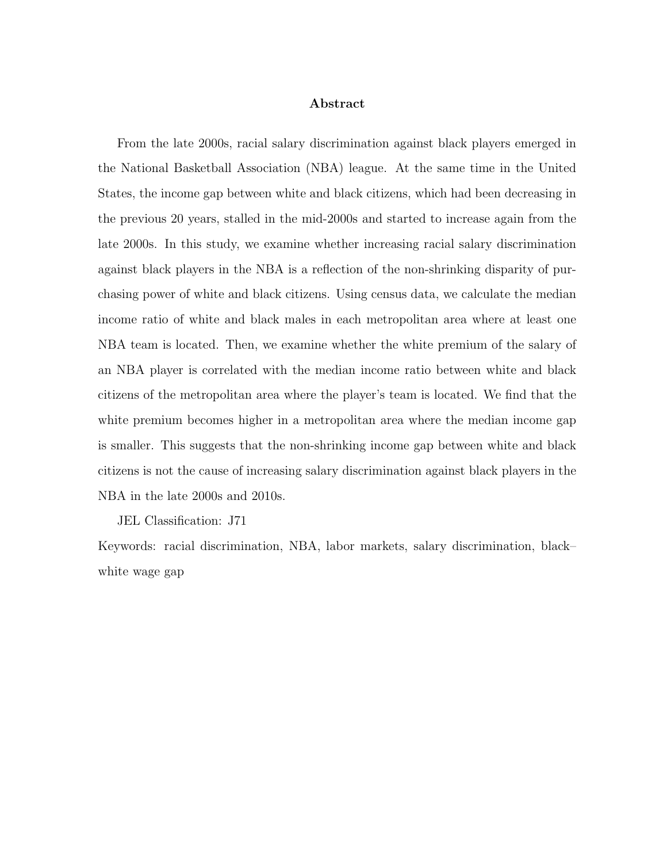#### Abstract

From the late 2000s, racial salary discrimination against black players emerged in the National Basketball Association (NBA) league. At the same time in the United States, the income gap between white and black citizens, which had been decreasing in the previous 20 years, stalled in the mid-2000s and started to increase again from the late 2000s. In this study, we examine whether increasing racial salary discrimination against black players in the NBA is a reflection of the non-shrinking disparity of purchasing power of white and black citizens. Using census data, we calculate the median income ratio of white and black males in each metropolitan area where at least one NBA team is located. Then, we examine whether the white premium of the salary of an NBA player is correlated with the median income ratio between white and black citizens of the metropolitan area where the player's team is located. We find that the white premium becomes higher in a metropolitan area where the median income gap is smaller. This suggests that the non-shrinking income gap between white and black citizens is not the cause of increasing salary discrimination against black players in the NBA in the late 2000s and 2010s.

JEL Classification: J71

Keywords: racial discrimination, NBA, labor markets, salary discrimination, black– white wage gap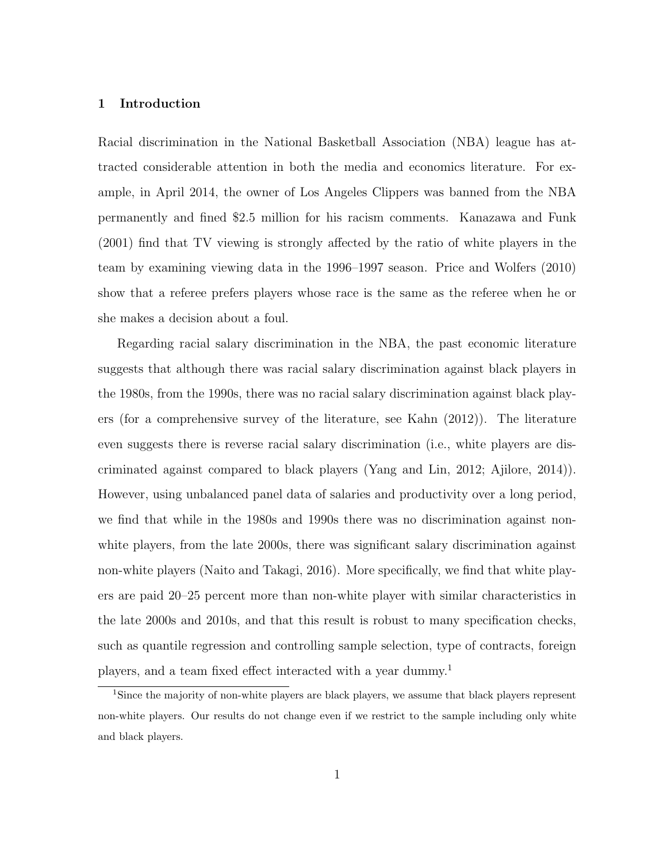### 1 Introduction

Racial discrimination in the National Basketball Association (NBA) league has attracted considerable attention in both the media and economics literature. For example, in April 2014, the owner of Los Angeles Clippers was banned from the NBA permanently and fined \$2.5 million for his racism comments. Kanazawa and Funk (2001) find that TV viewing is strongly affected by the ratio of white players in the team by examining viewing data in the 1996–1997 season. Price and Wolfers (2010) show that a referee prefers players whose race is the same as the referee when he or she makes a decision about a foul.

Regarding racial salary discrimination in the NBA, the past economic literature suggests that although there was racial salary discrimination against black players in the 1980s, from the 1990s, there was no racial salary discrimination against black players (for a comprehensive survey of the literature, see Kahn (2012)). The literature even suggests there is reverse racial salary discrimination (i.e., white players are discriminated against compared to black players (Yang and Lin, 2012; Ajilore, 2014)). However, using unbalanced panel data of salaries and productivity over a long period, we find that while in the 1980s and 1990s there was no discrimination against nonwhite players, from the late 2000s, there was significant salary discrimination against non-white players (Naito and Takagi, 2016). More specifically, we find that white players are paid 20–25 percent more than non-white player with similar characteristics in the late 2000s and 2010s, and that this result is robust to many specification checks, such as quantile regression and controlling sample selection, type of contracts, foreign players, and a team fixed effect interacted with a year dummy.<sup>1</sup>

<sup>&</sup>lt;sup>1</sup>Since the majority of non-white players are black players, we assume that black players represent non-white players. Our results do not change even if we restrict to the sample including only white and black players.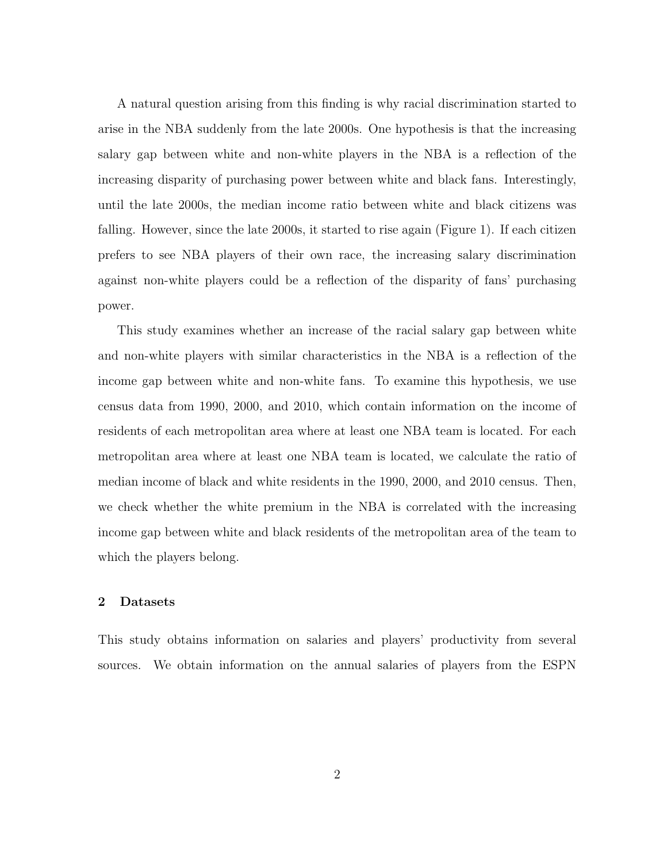A natural question arising from this finding is why racial discrimination started to arise in the NBA suddenly from the late 2000s. One hypothesis is that the increasing salary gap between white and non-white players in the NBA is a reflection of the increasing disparity of purchasing power between white and black fans. Interestingly, until the late 2000s, the median income ratio between white and black citizens was falling. However, since the late 2000s, it started to rise again (Figure 1). If each citizen prefers to see NBA players of their own race, the increasing salary discrimination against non-white players could be a reflection of the disparity of fans' purchasing power.

This study examines whether an increase of the racial salary gap between white and non-white players with similar characteristics in the NBA is a reflection of the income gap between white and non-white fans. To examine this hypothesis, we use census data from 1990, 2000, and 2010, which contain information on the income of residents of each metropolitan area where at least one NBA team is located. For each metropolitan area where at least one NBA team is located, we calculate the ratio of median income of black and white residents in the 1990, 2000, and 2010 census. Then, we check whether the white premium in the NBA is correlated with the increasing income gap between white and black residents of the metropolitan area of the team to which the players belong.

#### 2 Datasets

This study obtains information on salaries and players' productivity from several sources. We obtain information on the annual salaries of players from the ESPN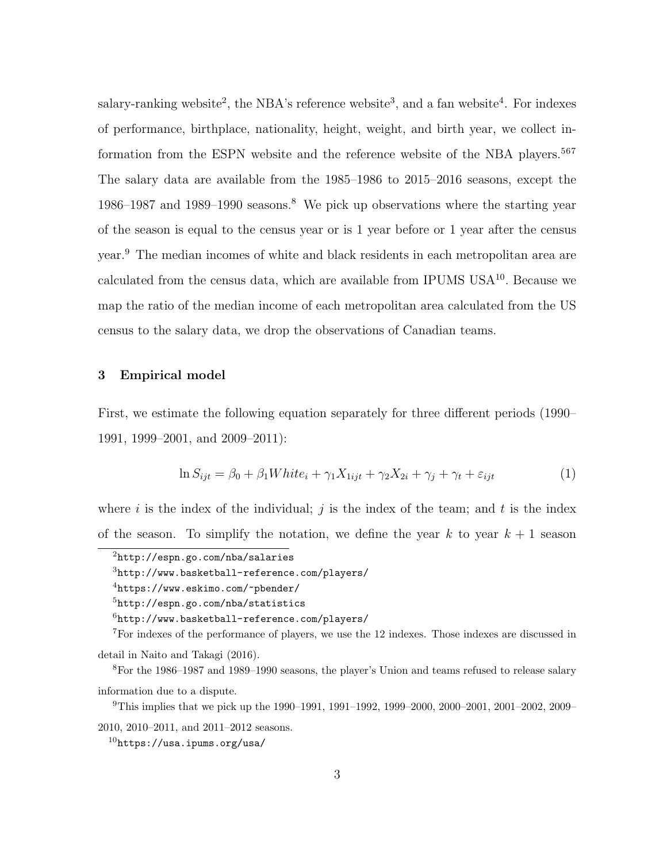salary-ranking website<sup>2</sup>, the NBA's reference website<sup>3</sup>, and a fan website<sup>4</sup>. For indexes of performance, birthplace, nationality, height, weight, and birth year, we collect information from the ESPN website and the reference website of the NBA players.<sup>567</sup> The salary data are available from the 1985–1986 to 2015–2016 seasons, except the 1986–1987 and 1989–1990 seasons.<sup>8</sup> We pick up observations where the starting year of the season is equal to the census year or is 1 year before or 1 year after the census year.<sup>9</sup> The median incomes of white and black residents in each metropolitan area are calculated from the census data, which are available from IPUMS USA $^{10}$ . Because we map the ratio of the median income of each metropolitan area calculated from the US census to the salary data, we drop the observations of Canadian teams.

## 3 Empirical model

First, we estimate the following equation separately for three different periods (1990– 1991, 1999–2001, and 2009–2011):

$$
\ln S_{ijt} = \beta_0 + \beta_1 White_i + \gamma_1 X_{1ijt} + \gamma_2 X_{2i} + \gamma_j + \gamma_t + \varepsilon_{ijt}
$$
\n<sup>(1)</sup>

where i is the index of the individual; j is the index of the team; and t is the index of the season. To simplify the notation, we define the year  $k$  to year  $k + 1$  season

<sup>3</sup>http://www.basketball-reference.com/players/

<sup>7</sup>For indexes of the performance of players, we use the 12 indexes. Those indexes are discussed in detail in Naito and Takagi (2016).

<sup>8</sup>For the 1986–1987 and 1989–1990 seasons, the player's Union and teams refused to release salary information due to a dispute.

<sup>9</sup>This implies that we pick up the 1990–1991, 1991–1992, 1999–2000, 2000–2001, 2001–2002, 2009– 2010, 2010–2011, and 2011–2012 seasons.

<sup>2</sup>http://espn.go.com/nba/salaries

<sup>4</sup>https://www.eskimo.com/~pbender/

<sup>5</sup>http://espn.go.com/nba/statistics

 $6$ http://www.basketball-reference.com/players/

 $10$ https://usa.ipums.org/usa/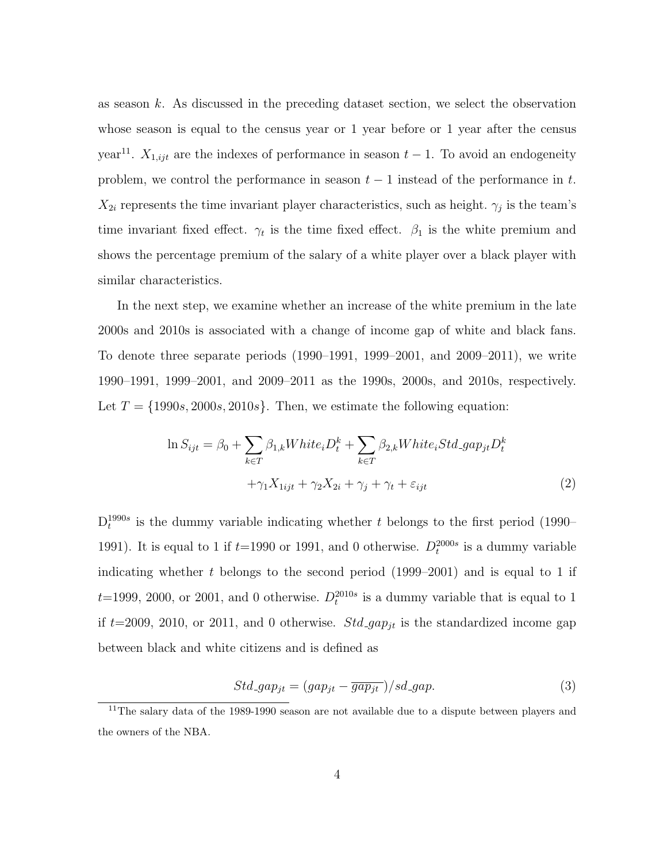as season  $k$ . As discussed in the preceding dataset section, we select the observation whose season is equal to the census year or 1 year before or 1 year after the census year<sup>11</sup>.  $X_{1,ijt}$  are the indexes of performance in season  $t-1$ . To avoid an endogeneity problem, we control the performance in season  $t-1$  instead of the performance in t.  $X_{2i}$  represents the time invariant player characteristics, such as height.  $\gamma_j$  is the team's time invariant fixed effect.  $\gamma_t$  is the time fixed effect.  $\beta_1$  is the white premium and shows the percentage premium of the salary of a white player over a black player with similar characteristics.

In the next step, we examine whether an increase of the white premium in the late 2000s and 2010s is associated with a change of income gap of white and black fans. To denote three separate periods (1990–1991, 1999–2001, and 2009–2011), we write 1990–1991, 1999–2001, and 2009–2011 as the 1990s, 2000s, and 2010s, respectively. Let  $T = \{1990s, 2000s, 2010s\}$ . Then, we estimate the following equation:

$$
\ln S_{ijt} = \beta_0 + \sum_{k \in T} \beta_{1,k} White_i D_t^k + \sum_{k \in T} \beta_{2,k} White_i Std\_gap_{jt} D_t^k
$$
  
 
$$
+ \gamma_1 X_{1ijt} + \gamma_2 X_{2i} + \gamma_j + \gamma_t + \varepsilon_{ijt}
$$
 (2)

 $D_t^{1990s}$  is the dummy variable indicating whether t belongs to the first period (1990– 1991). It is equal to 1 if  $t=1990$  or 1991, and 0 otherwise.  $D_t^{2000s}$  is a dummy variable indicating whether t belongs to the second period  $(1999-2001)$  and is equal to 1 if  $t=1999, 2000,$  or 2001, and 0 otherwise.  $D_t^{2010s}$  is a dummy variable that is equal to 1 if  $t=2009$ , 2010, or 2011, and 0 otherwise. Std-gap<sub>jt</sub> is the standardized income gap between black and white citizens and is defined as

$$
Std\_gap_{jt} = (gap_{jt} - \overline{gap_{jt}}) / sd\_gap.
$$
\n(3)

<sup>&</sup>lt;sup>11</sup>The salary data of the 1989-1990 season are not available due to a dispute between players and the owners of the NBA.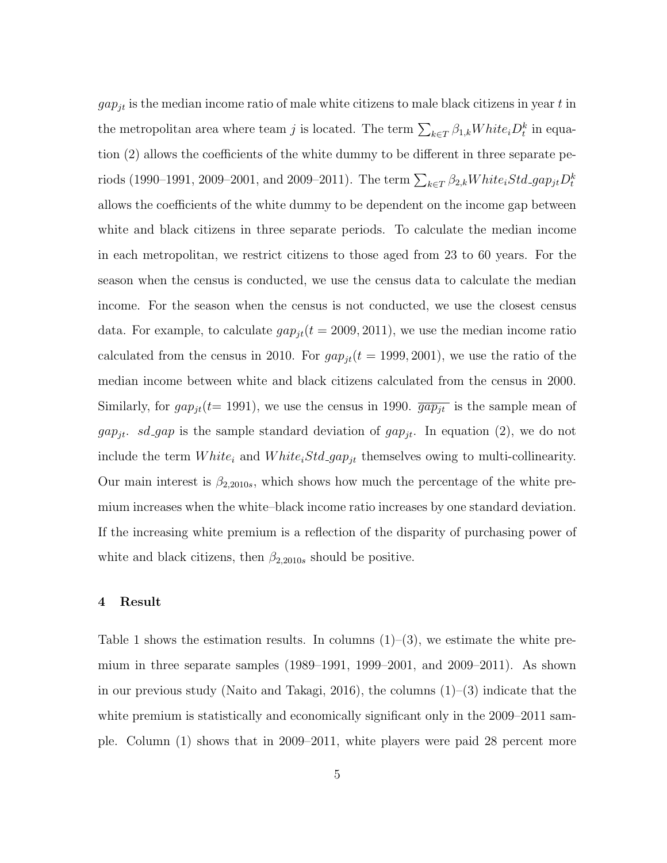$gap_{jt}$  is the median income ratio of male white citizens to male black citizens in year t in the metropolitan area where team j is located. The term  $\sum_{k \in T} \beta_{1,k} White_i D_t^k$  in equation (2) allows the coefficients of the white dummy to be different in three separate periods (1990–1991, 2009–2001, and 2009–2011). The term  $\sum_{k \in T} \beta_{2,k} White_iStd\_gap_{jt}D_t^k$ allows the coefficients of the white dummy to be dependent on the income gap between white and black citizens in three separate periods. To calculate the median income in each metropolitan, we restrict citizens to those aged from 23 to 60 years. For the season when the census is conducted, we use the census data to calculate the median income. For the season when the census is not conducted, we use the closest census data. For example, to calculate  $gap_{it}(t = 2009, 2011)$ , we use the median income ratio calculated from the census in 2010. For  $gap_{jt}(t = 1999, 2001)$ , we use the ratio of the median income between white and black citizens calculated from the census in 2000. Similarly, for  $gap_{it}(t= 1991)$ , we use the census in 1990.  $\overline{gap_{it}}$  is the sample mean of  $gap_{jt}$ . sd\_gap is the sample standard deviation of  $gap_{jt}$ . In equation (2), we do not include the term  $White_i$  and  $White_iStd\_gap_{jt}$  themselves owing to multi-collinearity. Our main interest is  $\beta_{2,2010s}$ , which shows how much the percentage of the white premium increases when the white–black income ratio increases by one standard deviation. If the increasing white premium is a reflection of the disparity of purchasing power of white and black citizens, then  $\beta_{2,2010s}$  should be positive.

# 4 Result

Table 1 shows the estimation results. In columns  $(1)$ – $(3)$ , we estimate the white premium in three separate samples (1989–1991, 1999–2001, and 2009–2011). As shown in our previous study (Naito and Takagi, 2016), the columns  $(1)-(3)$  indicate that the white premium is statistically and economically significant only in the 2009–2011 sample. Column (1) shows that in 2009–2011, white players were paid 28 percent more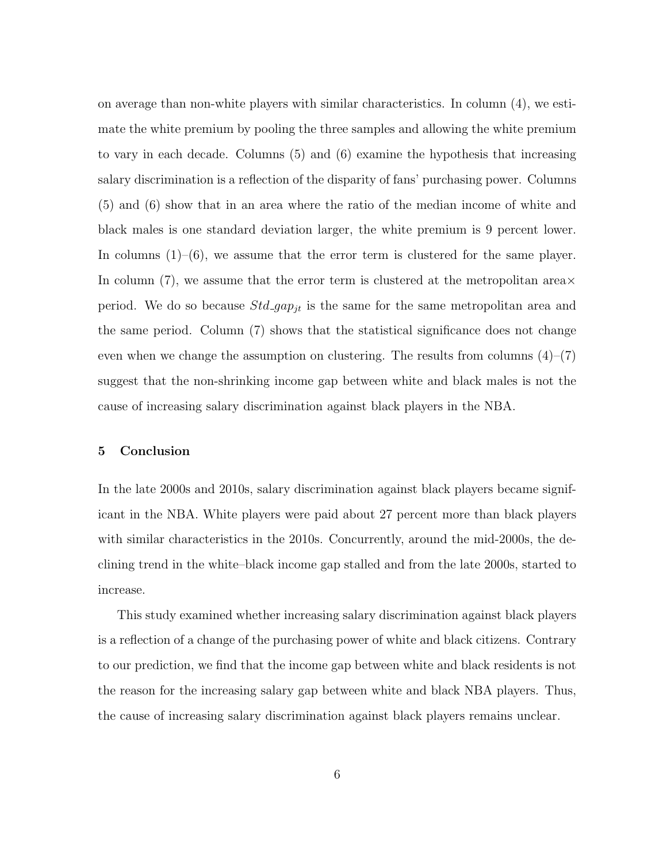on average than non-white players with similar characteristics. In column (4), we estimate the white premium by pooling the three samples and allowing the white premium to vary in each decade. Columns (5) and (6) examine the hypothesis that increasing salary discrimination is a reflection of the disparity of fans' purchasing power. Columns (5) and (6) show that in an area where the ratio of the median income of white and black males is one standard deviation larger, the white premium is 9 percent lower. In columns  $(1)$ – $(6)$ , we assume that the error term is clustered for the same player. In column (7), we assume that the error term is clustered at the metropolitan area $\times$ period. We do so because  $Std\_gap_{it}$  is the same for the same metropolitan area and the same period. Column (7) shows that the statistical significance does not change even when we change the assumption on clustering. The results from columns  $(4)$ – $(7)$ suggest that the non-shrinking income gap between white and black males is not the cause of increasing salary discrimination against black players in the NBA.

#### 5 Conclusion

In the late 2000s and 2010s, salary discrimination against black players became significant in the NBA. White players were paid about 27 percent more than black players with similar characteristics in the 2010s. Concurrently, around the mid-2000s, the declining trend in the white–black income gap stalled and from the late 2000s, started to increase.

This study examined whether increasing salary discrimination against black players is a reflection of a change of the purchasing power of white and black citizens. Contrary to our prediction, we find that the income gap between white and black residents is not the reason for the increasing salary gap between white and black NBA players. Thus, the cause of increasing salary discrimination against black players remains unclear.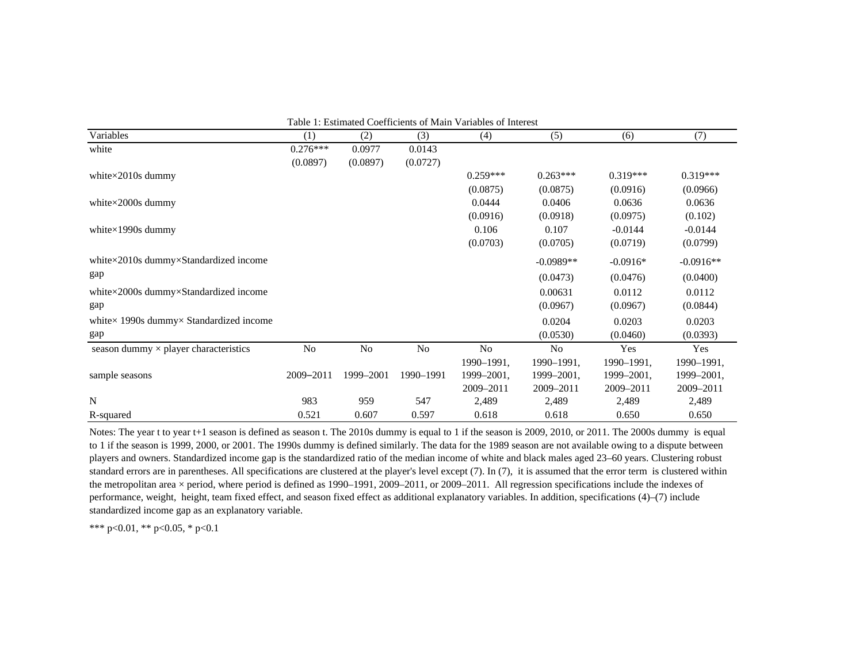| Table 1: Estimated Coefficients of Main Variables of Interest |            |           |           |            |             |            |             |
|---------------------------------------------------------------|------------|-----------|-----------|------------|-------------|------------|-------------|
| Variables                                                     | (1)        | (2)       | (3)       | (4)        | (5)         | (6)        | (7)         |
| white                                                         | $0.276***$ | 0.0977    | 0.0143    |            |             |            |             |
|                                                               | (0.0897)   | (0.0897)  | (0.0727)  |            |             |            |             |
| white $\times$ 2010s dummy                                    |            |           |           | $0.259***$ | $0.263***$  | $0.319***$ | $0.319***$  |
|                                                               |            |           |           | (0.0875)   | (0.0875)    | (0.0916)   | (0.0966)    |
| white $\times$ 2000s dummy                                    |            |           |           | 0.0444     | 0.0406      | 0.0636     | 0.0636      |
|                                                               |            |           |           | (0.0916)   | (0.0918)    | (0.0975)   | (0.102)     |
| white $\times$ 1990s dummy                                    |            |           |           | 0.106      | 0.107       | $-0.0144$  | $-0.0144$   |
|                                                               |            |           |           | (0.0703)   | (0.0705)    | (0.0719)   | (0.0799)    |
| white×2010s dummy×Standardized income                         |            |           |           |            | $-0.0989**$ | $-0.0916*$ | $-0.0916**$ |
| gap                                                           |            |           |           |            | (0.0473)    | (0.0476)   | (0.0400)    |
| white $\times$ 2000s dummy $\times$ Standardized income       |            |           |           |            | 0.00631     | 0.0112     | 0.0112      |
| gap                                                           |            |           |           |            | (0.0967)    | (0.0967)   | (0.0844)    |
| white $\times$ 1990s dummy $\times$ Standardized income       |            |           |           |            | 0.0204      | 0.0203     | 0.0203      |
| gap                                                           |            |           |           |            | (0.0530)    | (0.0460)   | (0.0393)    |
| season dummy $\times$ player characteristics                  | No         | No        | No        | No         | No          | Yes        | Yes         |
|                                                               |            |           |           | 1990-1991, | 1990-1991,  | 1990-1991, | 1990-1991,  |
| sample seasons                                                | 2009-2011  | 1999-2001 | 1990-1991 | 1999-2001, | 1999-2001,  | 1999-2001, | 1999-2001,  |
|                                                               |            |           |           | 2009-2011  | 2009-2011   | 2009-2011  | 2009-2011   |
| N                                                             | 983        | 959       | 547       | 2,489      | 2,489       | 2,489      | 2,489       |
| R-squared                                                     | 0.521      | 0.607     | 0.597     | 0.618      | 0.618       | 0.650      | 0.650       |

Notes: The year t to year t+1 season is defined as season t. The 2010s dummy is equal to 1 if the season is 2009, 2010, or 2011. The 2000s dummy is equal to 1 if the season is 1999, 2000, or 2001. The 1990s dummy is defined similarly. The data for the 1989 season are not available owing to a dispute between players and owners. Standardized income gap is the standardized ratio of the median income of white and black males aged 23–60 years. Clustering robust standard errors are in parentheses. All specifications are clustered at the player's level except (7). In (7), it is assumed that the error term is clustered within the metropolitan area  $\times$  period, where period is defined as 1990–1991, 2009–2011, or 2009–2011. All regression specifications include the indexes of performance, weight, height, team fixed effect, and season fixed effect as additional explanatory variables. In addition, specifications (4)–(7) include standardized income gap as an explanatory variable.

\*\*\* p<0.01, \*\* p<0.05, \* p<0.1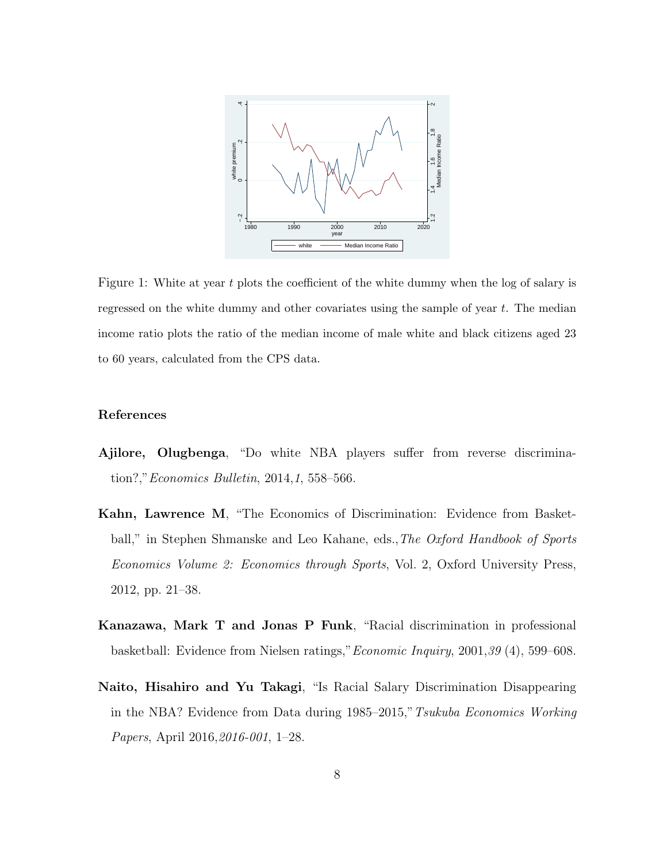

Figure 1: White at year t plots the coefficient of the white dummy when the log of salary is regressed on the white dummy and other covariates using the sample of year  $t$ . The median income ratio plots the ratio of the median income of male white and black citizens aged 23 to 60 years, calculated from the CPS data.

# References

- Ajilore, Olugbenga, "Do white NBA players suffer from reverse discrimination?,"Economics Bulletin, 2014,1, 558–566.
- Kahn, Lawrence M, "The Economics of Discrimination: Evidence from Basketball," in Stephen Shmanske and Leo Kahane, eds., The Oxford Handbook of Sports Economics Volume 2: Economics through Sports, Vol. 2, Oxford University Press, 2012, pp. 21–38.
- Kanazawa, Mark T and Jonas P Funk, "Racial discrimination in professional basketball: Evidence from Nielsen ratings,"Economic Inquiry, 2001,39 (4), 599–608.
- Naito, Hisahiro and Yu Takagi, "Is Racial Salary Discrimination Disappearing in the NBA? Evidence from Data during 1985–2015,"Tsukuba Economics Working Papers, April 2016,2016-001, 1–28.